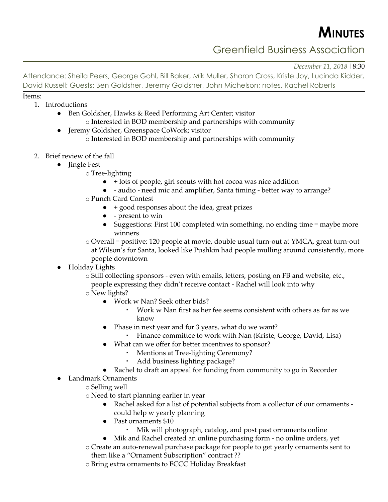**MINUTES**

Greenfield Business Association

*December 11, 2018* |8:30

Attendance: Sheila Peers, George Gohl, Bill Baker, Mik Muller, Sharon Cross, Kriste Joy, Lucinda Kidder, David Russell; Guests: Ben Goldsher, Jeremy Goldsher, John Michelson; notes, Rachel Roberts

Items:

- 1. Introductions
	- Ben Goldsher, Hawks & Reed Performing Art Center; visitor o Interested in BOD membership and partnerships with community
	- Jeremy Goldsher, Greenspace CoWork; visitor
		- o Interested in BOD membership and partnerships with community
- 2. Brief review of the fall
	- Jingle Fest
		- o Tree-lighting
			- $\bullet$  + lots of people, girl scouts with hot cocoa was nice addition
			- - audio need mic and amplifier, Santa timing better way to arrange?
		- o Punch Card Contest
			- + good responses about the idea, great prizes
			- - present to win
			- Suggestions: First 100 completed win something, no ending time = maybe more winners
		- o Overall = positive: 120 people at movie, double usual turn-out at YMCA, great turn-out at Wilson's for Santa, looked like Pushkin had people mulling around consistently, more people downtown
		- Holiday Lights
			- o Still collecting sponsors even with emails, letters, posting on FB and website, etc., people expressing they didn't receive contact - Rachel will look into why
			- o New lights?
				- Work w Nan? Seek other bids?
					- Work w Nan first as her fee seems consistent with others as far as we know
				- Phase in next year and for 3 years, what do we want?
					- Finance committee to work with Nan (Kriste, George, David, Lisa)
				- What can we offer for better incentives to sponsor?
					- Mentions at Tree-lighting Ceremony?
						- Add business lighting package?
				- Rachel to draft an appeal for funding from community to go in Recorder
		- Landmark Ornaments
			- o Selling well
			- o Need to start planning earlier in year
				- Rachel asked for a list of potential subjects from a collector of our ornaments could help w yearly planning
				- Past ornaments \$10
					- Mik will photograph, catalog, and post past ornaments online
				- Mik and Rachel created an online purchasing form no online orders, yet
			- o Create an auto-renewal purchase package for people to get yearly ornaments sent to them like a "Ornament Subscription" contract ??
			- o Bring extra ornaments to FCCC Holiday Breakfast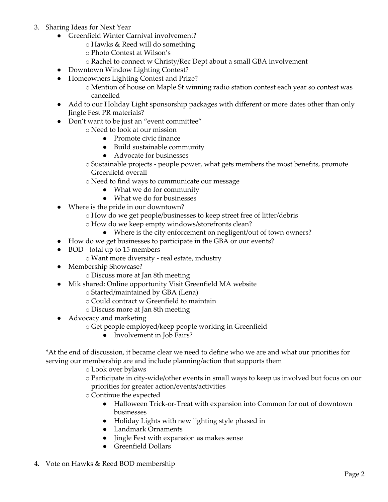- 3. Sharing Ideas for Next Year
	- Greenfield Winter Carnival involvement?
		- o Hawks & Reed will do something
		- o Photo Contest at Wilson's
		- o Rachel to connect w Christy/Rec Dept about a small GBA involvement
	- Downtown Window Lighting Contest?
	- Homeowners Lighting Contest and Prize?
		- o Mention of house on Maple St winning radio station contest each year so contest was cancelled
	- Add to our Holiday Light sponsorship packages with different or more dates other than only Jingle Fest PR materials?
	- Don't want to be just an "event committee"
		- o Need to look at our mission
			- Promote civic finance
			- Build sustainable community
			- Advocate for businesses
		- o Sustainable projects people power, what gets members the most benefits, promote Greenfield overall
		- o Need to find ways to communicate our message
			- What we do for community
			- What we do for businesses
	- Where is the pride in our downtown?
		- o How do we get people/businesses to keep street free of litter/debris
		- o How do we keep empty windows/storefronts clean?
			- Where is the city enforcement on negligent/out of town owners?
	- How do we get businesses to participate in the GBA or our events?
	- BOD total up to 15 members
		- o Want more diversity real estate, industry
	- Membership Showcase?
		- o Discuss more at Jan 8th meeting
	- Mik shared: Online opportunity Visit Greenfield MA website
		- o Started/maintained by GBA (Lena)
		- o Could contract w Greenfield to maintain
		- o Discuss more at Jan 8th meeting
	- Advocacy and marketing
		- o Get people employed/keep people working in Greenfield
			- Involvement in Job Fairs?

\*At the end of discussion, it became clear we need to define who we are and what our priorities for serving our membership are and include planning/action that supports them

- o Look over bylaws
- o Participate in city-wide/other events in small ways to keep us involved but focus on our priorities for greater action/events/activities
- o Continue the expected
	- Halloween Trick-or-Treat with expansion into Common for out of downtown businesses
	- Holiday Lights with new lighting style phased in
	- Landmark Ornaments
	- Jingle Fest with expansion as makes sense
	- Greenfield Dollars
- 4. Vote on Hawks & Reed BOD membership